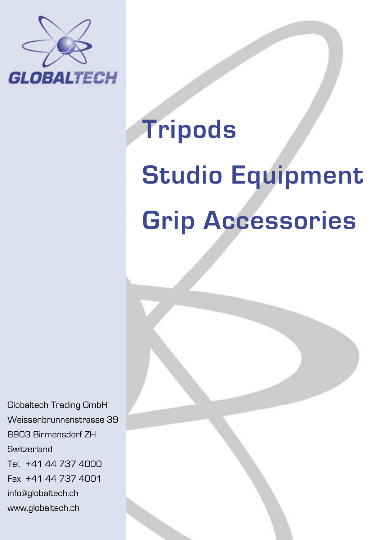

# **Tripods Studio Equipment Grip Accessories**

Globaltech Trading GmbH Weissenbrunnenstrasse 39 8903 Birmensdorf ZH **Switzerland** Tel. +41 44 737 4000 Fax +41 44 737 4001 info@globaltech.ch www.globaltech.ch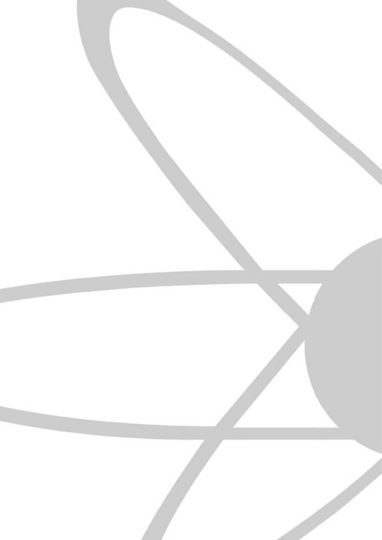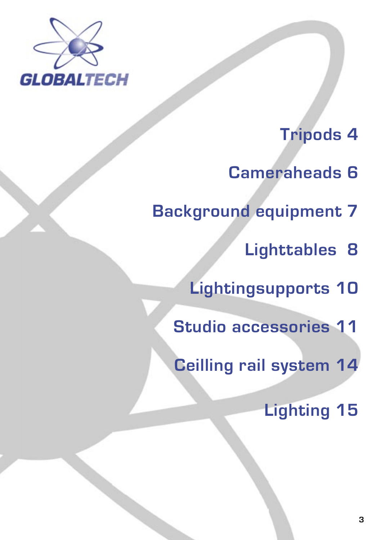

#### **Tripods 4**

- **Cameraheads 6**
- **Background equipment 7**
	- **Lighttables 8**
	- **Lightingsupports 10**
	- **Studio accessories 11**
	- **Ceilling rail system 14**
		- **Lighting 15**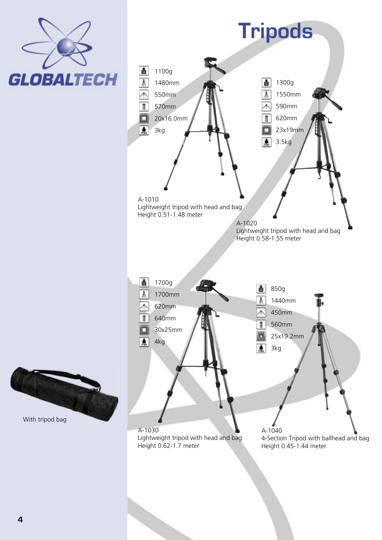



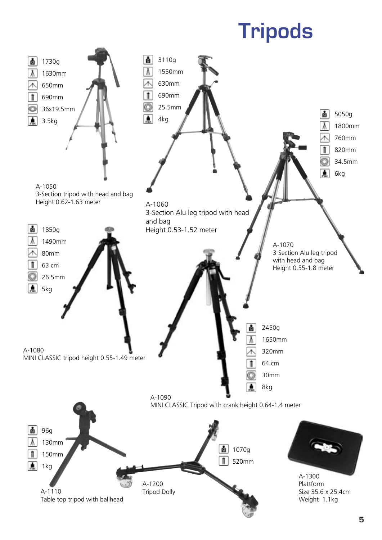# **Tripods**

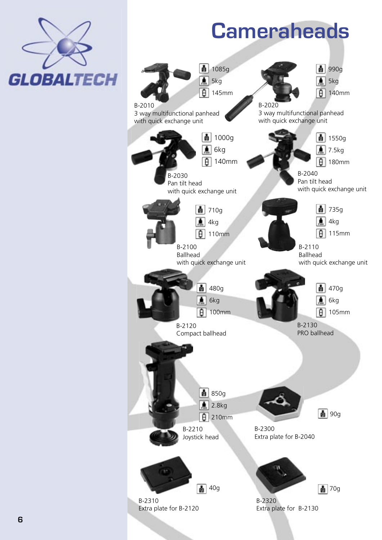

### **Cameraheads**

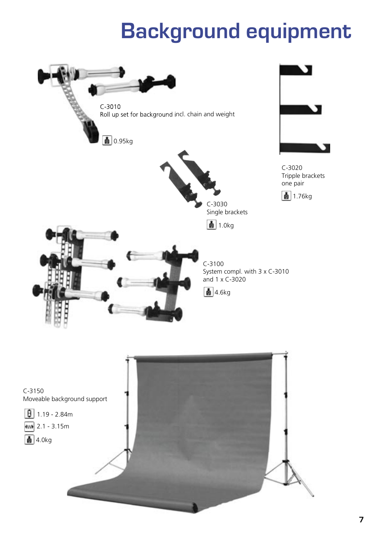# **Background equipment**

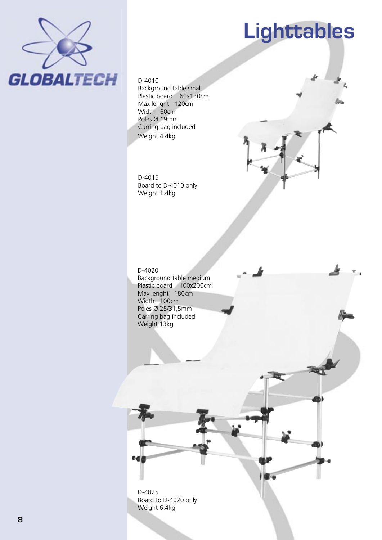

# **Lighttables**

D-4010 Background table small Plastic board 60x130cm Max lenght 120cm Width 60cm Poles Ø 19mm Carring bag included Weight 4.4kg

D-4015 Board to D-4010 only Weight 1.4kg



D-4020 Background table medium Plastic board 100x200cm Max lenght 180cm Width 100cm Poles Ø 25/31,5mm Carring bag included Weight 13kg

D-4025 Board to D-4020 only Weight 6.4kg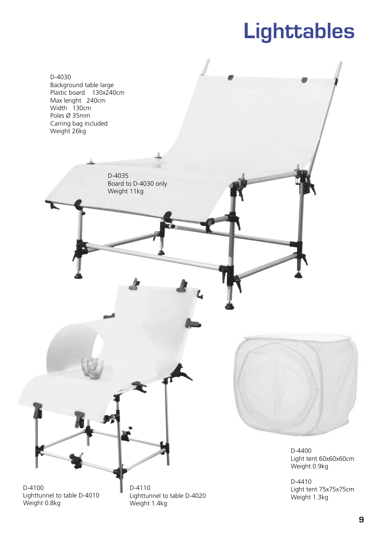### **Lighttables**



Lighttunnel to table D-4010 Weight 0.8kg

Lighttunnel to table D-4020 Weight 1.4kg

Weight 1.3kg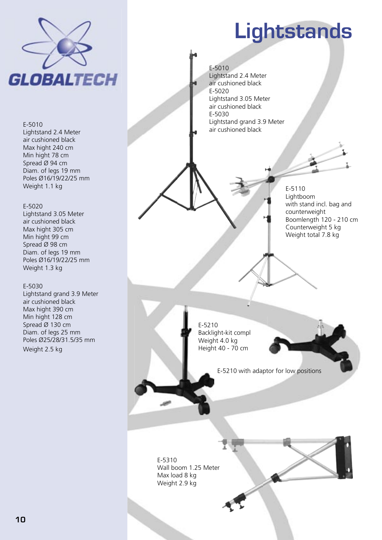

#### E-5010

Lightstand 2.4 Meter air cushioned black Max hight 240 cm Min hight 78 cm Spread Ø 94 cm Diam. of legs 19 mm Poles Ø16/19/22/25 mm Weight 1.1 kg

#### E-5020

Lightstand 3.05 Meter air cushioned black Max hight 305 cm Min hight 99 cm Spread Ø 98 cm Diam. of legs 19 mm Poles Ø16/19/22/25 mm Weight 1.3 kg

#### E-5030

Lightstand grand 3.9 Meter air cushioned black Max hight 390 cm Min hight 128 cm Spread Ø 130 cm Diam. of legs 25 mm Poles Ø25/28/31.5/35 mm Weight 2.5 kg

## **Lightstands**

#### E-5010

Lightstand 2.4 Meter air cushioned black E-5020 Lightstand 3.05 Meter air cushioned black E-5030 Lightstand grand 3.9 Meter air cushioned black

#### E-5110 Lightboom with stand incl. bag and counterweight Boomlength 120 - 210 cm Counterweight 5 kg Weight total 7.8 kg

E-5210 Backlight-kit compl Weight 4.0 kg Height 40 - 70 cm



E-5210 with adaptor for low positions

E-5310 Wall boom 1.25 Meter Max load 8 kg Weight 2.9 kg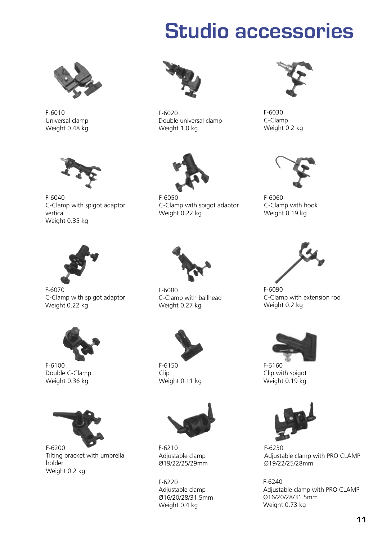### **Studio accessories**



F-6010 Universal clamp Weight 0.48 kg



F-6020 Double universal clamp Weight 1.0 kg



F-6030 C-Clamp Weight 0.2 kg



F-6040 C-Clamp with spigot adaptor vertical Weight 0.35 kg



F-6050 C-Clamp with spigot adaptor Weight 0.22 kg



F-6060 C-Clamp with hook Weight 0.19 kg



F-6070 C-Clamp with spigot adaptor Weight 0.22 kg



F-6100 Double C-Clamp Weight 0.36 kg



F-6200 Tilting bracket with umbrella holder Weight 0.2 kg



F-6080 C-Clamp with ballhead Weight 0.27 kg



F-6150 Clip Weight 0.11 kg



F-6210 Adjustable clamp Ø19/22/25/29mm

F-6220 Adjustable clamp Ø16/20/28/31.5mm Weight 0.4 kg



F-6090 C-Clamp with extension rod Weight 0.2 kg



F-6160 Clip with spigot Weight 0.19 kg



F-6230 Adjustable clamp with PRO CLAMP Ø19/22/25/28mm

F-6240 Adjustable clamp with PRO CLAMP Ø16/20/28/31.5mm Weight 0.73 kg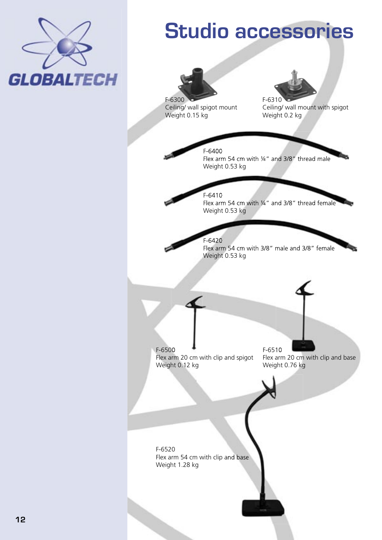

### **Studio accessories**

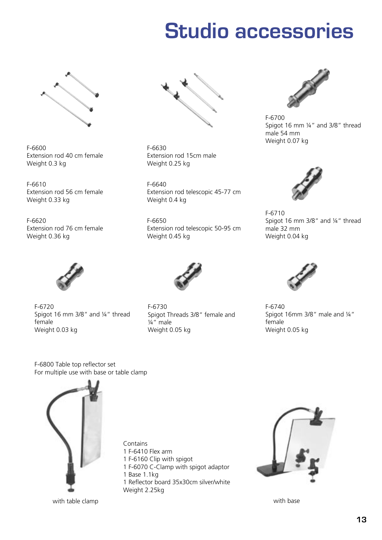### **Studio accessories**



F-6600 Extension rod 40 cm female Weight 0.3 kg

F-6610 Extension rod 56 cm female Weight 0.33 kg

F-6620 Extension rod 76 cm female Weight 0.36 kg



F-6720 Spigot 16 mm 3/8" and ¼" thread female Weight 0.03 kg



F-6630 Extension rod 15cm male Weight 0.25 kg

F-6640 Extension rod telescopic 45-77 cm Weight 0.4 kg

F-6650 Extension rod telescopic 50-95 cm Weight 0.45 kg



F-6730 Spigot Threads 3/8" female and ¼" male Weight 0.05 kg



F-6700 Spigot 16 mm ¼" and 3/8" thread male 54 mm Weight 0.07 kg



F-6710 Spigot 16 mm 3/8" and ¼" thread male 32 mm Weight 0.04 kg



F-6740 Spigot 16mm 3/8" male and ¼" female Weight 0.05 kg

F-6800 Table top reflector set For multiple use with base or table clamp



Contains 1 F-6410 Flex arm 1 F-6160 Clip with spigot 1 F-6070 C-Clamp with spigot adaptor 1 Base 1.1kg 1 Reflector board 35x30cm silver/white Weight 2.25kg



with table clamp with base with base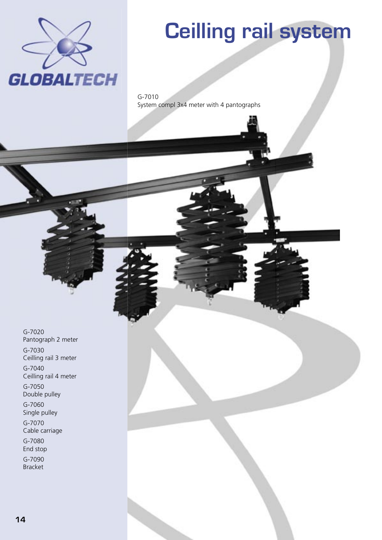

## **Ceilling rail system**

G-7010 System compl 3x4 meter with 4 pantographs

G-7020 Pantograph 2 meter G-7030 Ceilling rail 3 meter

G-7040 Ceilling rail 4 meter

G-7050 Double pulley

G-7060 Single pulley G-7070

Cable carriage G-7080

End stop G-7090 Bracket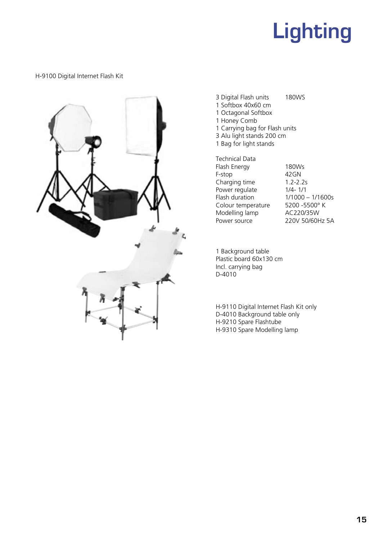# **Lighting**

#### H-9100 Digital Internet Flash Kit



3 Digital Flash units 180WS 1 Softbox 40x60 cm 1 Octagonal Softbox 1 Honey Comb 1 Carrying bag for Flash units 3 Alu light stands 200 cm 1 Bag for light stands

Technical Data Flash Energy 180Ws<br>F-stop 12GN F-stop Charging time 1.2-2.2s<br>Power regulate 1/4-1/1 Power regulate<br>Flash duration Colour temperature 5200 -5500° K Modelling lamp <br>
Power source <br>
220V 50/60F

 $1/1000 - 1/1600s$ 220V 50/60Hz 5A

1 Background table Plastic board 60x130 cm Incl. carrying bag D-4010

H-9110 Digital Internet Flash Kit only D-4010 Background table only H-9210 Spare Flashtube H-9310 Spare Modelling lamp